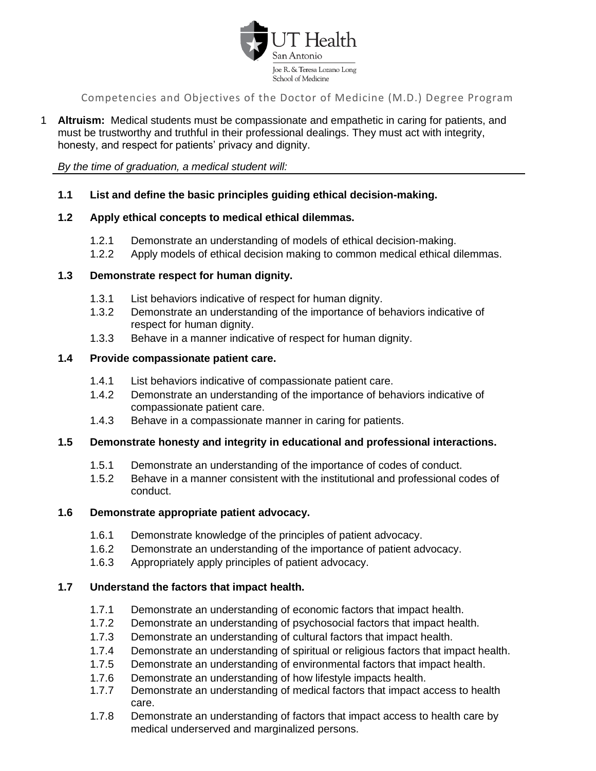

1 **Altruism:** Medical students must be compassionate and empathetic in caring for patients, and must be trustworthy and truthful in their professional dealings. They must act with integrity, honesty, and respect for patients' privacy and dignity.

*By the time of graduation, a medical student will:*

# **1.1 List and define the basic principles guiding ethical decision-making.**

#### **1.2 Apply ethical concepts to medical ethical dilemmas.**

- 1.2.1 Demonstrate an understanding of models of ethical decision-making.
- 1.2.2 Apply models of ethical decision making to common medical ethical dilemmas.

#### **1.3 Demonstrate respect for human dignity.**

- 1.3.1 List behaviors indicative of respect for human dignity.
- 1.3.2 Demonstrate an understanding of the importance of behaviors indicative of respect for human dignity.
- 1.3.3 Behave in a manner indicative of respect for human dignity.

#### **1.4 Provide compassionate patient care.**

- 1.4.1 List behaviors indicative of compassionate patient care.
- 1.4.2 Demonstrate an understanding of the importance of behaviors indicative of compassionate patient care.
- 1.4.3 Behave in a compassionate manner in caring for patients.

# **1.5 Demonstrate honesty and integrity in educational and professional interactions.**

- 1.5.1 Demonstrate an understanding of the importance of codes of conduct.
- 1.5.2 Behave in a manner consistent with the institutional and professional codes of conduct.

# **1.6 Demonstrate appropriate patient advocacy.**

- 1.6.1 Demonstrate knowledge of the principles of patient advocacy.
- 1.6.2 Demonstrate an understanding of the importance of patient advocacy.
- 1.6.3 Appropriately apply principles of patient advocacy.

# **1.7 Understand the factors that impact health.**

- 1.7.1 Demonstrate an understanding of economic factors that impact health.
- 1.7.2 Demonstrate an understanding of psychosocial factors that impact health.
- 1.7.3 Demonstrate an understanding of cultural factors that impact health.
- 1.7.4 Demonstrate an understanding of spiritual or religious factors that impact health.
- 1.7.5 Demonstrate an understanding of environmental factors that impact health.
- 1.7.6 Demonstrate an understanding of how lifestyle impacts health.
- 1.7.7 Demonstrate an understanding of medical factors that impact access to health care.
- 1.7.8 Demonstrate an understanding of factors that impact access to health care by medical underserved and marginalized persons.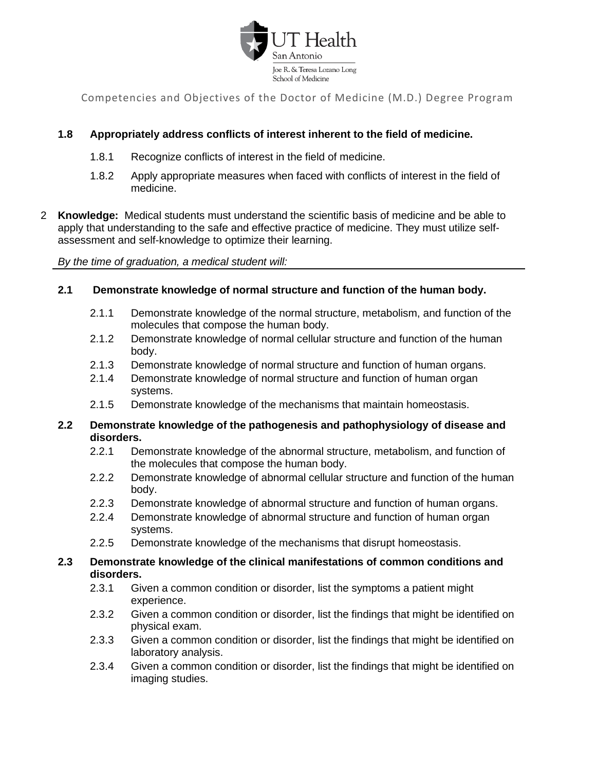

# **1.8 Appropriately address conflicts of interest inherent to the field of medicine.**

- 1.8.1 Recognize conflicts of interest in the field of medicine.
- 1.8.2 Apply appropriate measures when faced with conflicts of interest in the field of medicine.
- 2 **Knowledge:** Medical students must understand the scientific basis of medicine and be able to apply that understanding to the safe and effective practice of medicine. They must utilize selfassessment and self-knowledge to optimize their learning.

*By the time of graduation, a medical student will:*

# **2.1 Demonstrate knowledge of normal structure and function of the human body.**

- 2.1.1 Demonstrate knowledge of the normal structure, metabolism, and function of the molecules that compose the human body.
- 2.1.2 Demonstrate knowledge of normal cellular structure and function of the human body.
- 2.1.3 Demonstrate knowledge of normal structure and function of human organs.
- 2.1.4 Demonstrate knowledge of normal structure and function of human organ systems.
- 2.1.5 Demonstrate knowledge of the mechanisms that maintain homeostasis.

#### **2.2 Demonstrate knowledge of the pathogenesis and pathophysiology of disease and disorders.**

- 2.2.1 Demonstrate knowledge of the abnormal structure, metabolism, and function of the molecules that compose the human body.
- 2.2.2 Demonstrate knowledge of abnormal cellular structure and function of the human body.
- 2.2.3 Demonstrate knowledge of abnormal structure and function of human organs.
- 2.2.4 Demonstrate knowledge of abnormal structure and function of human organ systems.
- 2.2.5 Demonstrate knowledge of the mechanisms that disrupt homeostasis.

#### **2.3 Demonstrate knowledge of the clinical manifestations of common conditions and disorders.**

- 2.3.1 Given a common condition or disorder, list the symptoms a patient might experience.
- 2.3.2 Given a common condition or disorder, list the findings that might be identified on physical exam.
- 2.3.3 Given a common condition or disorder, list the findings that might be identified on laboratory analysis.
- 2.3.4 Given a common condition or disorder, list the findings that might be identified on imaging studies.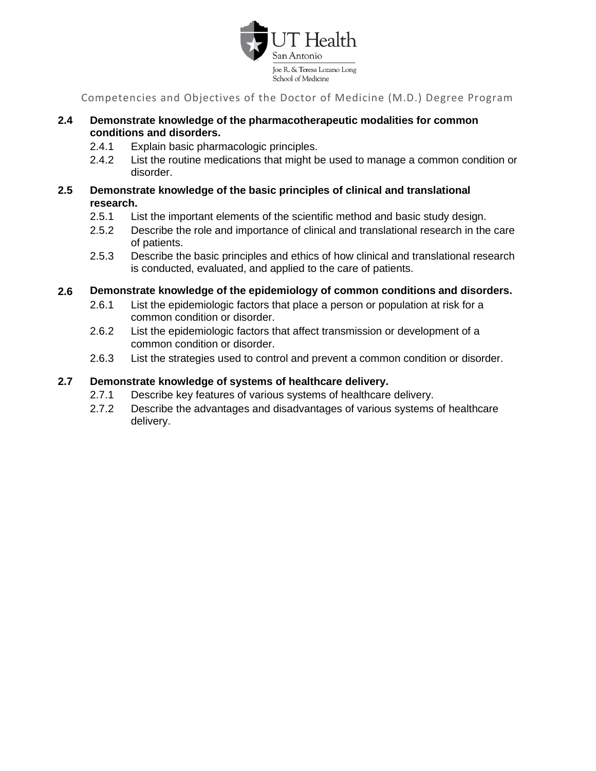

# **2.4 Demonstrate knowledge of the pharmacotherapeutic modalities for common conditions and disorders.**

- 2.4.1 Explain basic pharmacologic principles.
- 2.4.2 List the routine medications that might be used to manage a common condition or disorder.

# **2.5 Demonstrate knowledge of the basic principles of clinical and translational research.**

- 2.5.1 List the important elements of the scientific method and basic study design.
- 2.5.2 Describe the role and importance of clinical and translational research in the care of patients.
- 2.5.3 Describe the basic principles and ethics of how clinical and translational research is conducted, evaluated, and applied to the care of patients.
- **2.6 Demonstrate knowledge of the epidemiology of common conditions and disorders.**
	- 2.6.1 List the epidemiologic factors that place a person or population at risk for a common condition or disorder.
	- 2.6.2 List the epidemiologic factors that affect transmission or development of a common condition or disorder.
	- 2.6.3 List the strategies used to control and prevent a common condition or disorder.

# **2.7 Demonstrate knowledge of systems of healthcare delivery.**

- 2.7.1 Describe key features of various systems of healthcare delivery.
- 2.7.2 Describe the advantages and disadvantages of various systems of healthcare delivery.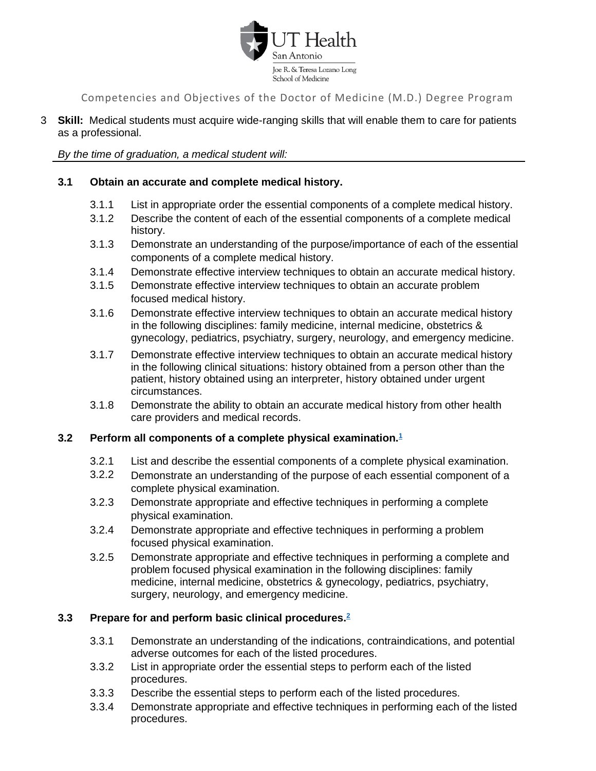

3 **Skill:** Medical students must acquire wide-ranging skills that will enable them to care for patients as a professional.

*By the time of graduation, a medical student will:*

# **3.1 Obtain an accurate and complete medical history.**

- 3.1.1 List in appropriate order the essential components of a complete medical history.
- 3.1.2 Describe the content of each of the essential components of a complete medical history.
- 3.1.3 Demonstrate an understanding of the purpose/importance of each of the essential components of a complete medical history.
- 3.1.4 Demonstrate effective interview techniques to obtain an accurate medical history.
- 3.1.5 Demonstrate effective interview techniques to obtain an accurate problem focused medical history.
- 3.1.6 Demonstrate effective interview techniques to obtain an accurate medical history in the following disciplines: family medicine, internal medicine, obstetrics & gynecology, pediatrics, psychiatry, surgery, neurology, and emergency medicine.
- 3.1.7 Demonstrate effective interview techniques to obtain an accurate medical history in the following clinical situations: history obtained from a person other than the patient, history obtained using an interpreter, history obtained under urgent circumstances.
- 3.1.8 Demonstrate the ability to obtain an accurate medical history from other health care providers and medical records.

# **3.2 Perform all components of a complete physical examination[.](#page-6-0)<sup>1</sup>**

- 3.2.1 List and describe the essential components of a complete physical examination.
- 3.2.2 Demonstrate an understanding of the purpose of each essential component of a complete physical examination.
- 3.2.3 Demonstrate appropriate and effective techniques in performing a complete physical examination.
- 3.2.4 Demonstrate appropriate and effective techniques in performing a problem focused physical examination.
- 3.2.5 Demonstrate appropriate and effective techniques in performing a complete and problem focused physical examination in the following disciplines: family medicine, internal medicine, obstetrics & gynecology, pediatrics, psychiatry, surgery, neurology, and emergency medicine.

# **3.3 Prepare for and perform basic clinical procedures.[2](#page-25-0)**

- 3.3.1 Demonstrate an understanding of the indications, contraindications, and potential adverse outcomes for each of the listed procedures.
- 3.3.2 List in appropriate order the essential steps to perform each of the listed procedures.
- 3.3.3 Describe the essential steps to perform each of the listed procedures.
- 3.3.4 Demonstrate appropriate and effective techniques in performing each of the listed procedures.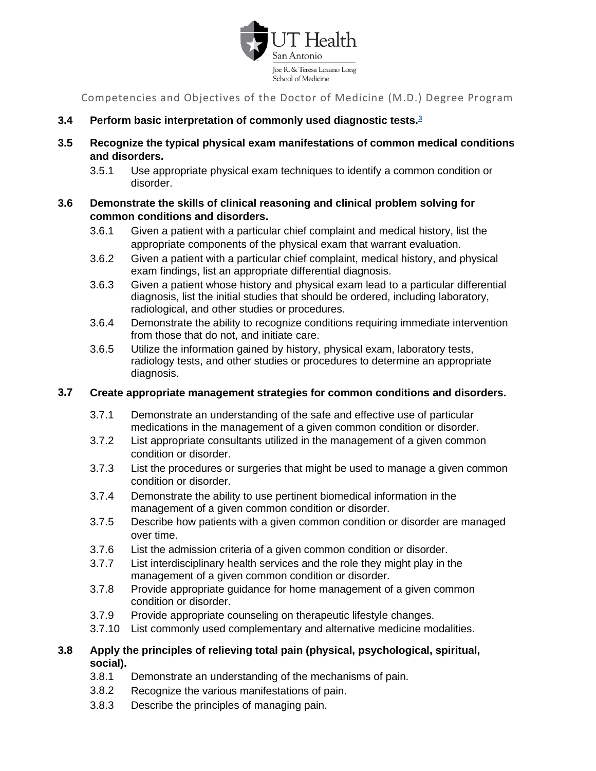

- **3.4 Perform basic interpretation of commonly used diagnostic tests.[3](#page-26-0)**
- **3.5 Recognize the typical physical exam manifestations of common medical conditions and disorders.**
	- 3.5.1 Use appropriate physical exam techniques to identify a common condition or disorder.
- **3.6 Demonstrate the skills of clinical reasoning and clinical problem solving for common conditions and disorders.**
	- 3.6.1 Given a patient with a particular chief complaint and medical history, list the appropriate components of the physical exam that warrant evaluation.
	- 3.6.2 Given a patient with a particular chief complaint, medical history, and physical exam findings, list an appropriate differential diagnosis.
	- 3.6.3 Given a patient whose history and physical exam lead to a particular differential diagnosis, list the initial studies that should be ordered, including laboratory, radiological, and other studies or procedures.
	- 3.6.4 Demonstrate the ability to recognize conditions requiring immediate intervention from those that do not, and initiate care.
	- 3.6.5 Utilize the information gained by history, physical exam, laboratory tests, radiology tests, and other studies or procedures to determine an appropriate diagnosis.

# **3.7 Create appropriate management strategies for common conditions and disorders.**

- 3.7.1 Demonstrate an understanding of the safe and effective use of particular medications in the management of a given common condition or disorder.
- 3.7.2 List appropriate consultants utilized in the management of a given common condition or disorder.
- 3.7.3 List the procedures or surgeries that might be used to manage a given common condition or disorder.
- 3.7.4 Demonstrate the ability to use pertinent biomedical information in the management of a given common condition or disorder.
- 3.7.5 Describe how patients with a given common condition or disorder are managed over time.
- 3.7.6 List the admission criteria of a given common condition or disorder.
- 3.7.7 List interdisciplinary health services and the role they might play in the management of a given common condition or disorder.
- 3.7.8 Provide appropriate guidance for home management of a given common condition or disorder.
- 3.7.9 Provide appropriate counseling on therapeutic lifestyle changes.
- 3.7.10 List commonly used complementary and alternative medicine modalities.
- **3.8 Apply the principles of relieving total pain (physical, psychological, spiritual, social).**
	- 3.8.1 Demonstrate an understanding of the mechanisms of pain.
	- 3.8.2 Recognize the various manifestations of pain.
	- 3.8.3 Describe the principles of managing pain.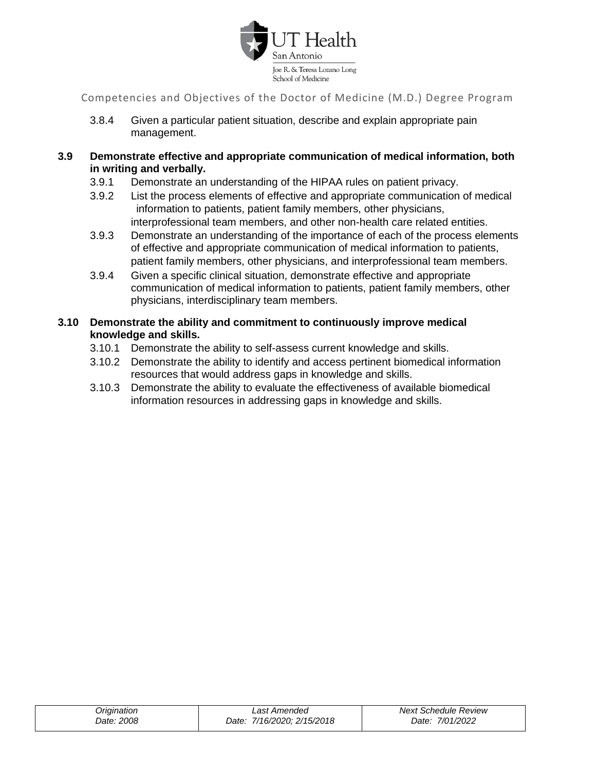

- 3.8.4 Given a particular patient situation, describe and explain appropriate pain management.
- **3.9 Demonstrate effective and appropriate communication of medical information, both in writing and verbally.**
	- 3.9.1 Demonstrate an understanding of the HIPAA rules on patient privacy.
	- 3.9.2 List the process elements of effective and appropriate communication of medical information to patients, patient family members, other physicians, interprofessional team members, and other non-health care related entities.
	- 3.9.3 Demonstrate an understanding of the importance of each of the process elements of effective and appropriate communication of medical information to patients, patient family members, other physicians, and interprofessional team members.
	- 3.9.4 Given a specific clinical situation, demonstrate effective and appropriate communication of medical information to patients, patient family members, other physicians, interdisciplinary team members.
- **3.10 Demonstrate the ability and commitment to continuously improve medical knowledge and skills.**
	- 3.10.1 Demonstrate the ability to self-assess current knowledge and skills.
	- 3.10.2 Demonstrate the ability to identify and access pertinent biomedical information resources that would address gaps in knowledge and skills.
	- 3.10.3 Demonstrate the ability to evaluate the effectiveness of available biomedical information resources in addressing gaps in knowledge and skills.

| Origination | Last Amended               | Next Schedule Review |
|-------------|----------------------------|----------------------|
| Date: 2008  | Date: 7/16/2020; 2/15/2018 | 7/01/2022<br>Date:   |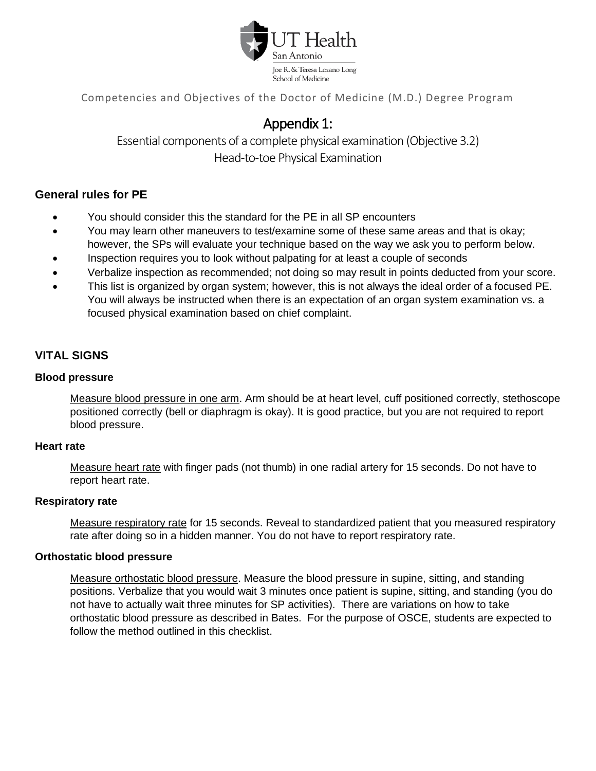

# Appendix 1:

Essential components of a complete physical examination (Objective 3.2) Head-to-toe Physical Examination

# <span id="page-6-0"></span>**General rules for PE**

- You should consider this the standard for the PE in all SP encounters
- You may learn other maneuvers to test/examine some of these same areas and that is okay; however, the SPs will evaluate your technique based on the way we ask you to perform below.
- Inspection requires you to look without palpating for at least a couple of seconds
- Verbalize inspection as recommended; not doing so may result in points deducted from your score.
- This list is organized by organ system; however, this is not always the ideal order of a focused PE. You will always be instructed when there is an expectation of an organ system examination vs. a focused physical examination based on chief complaint.

# **VITAL SIGNS**

# **Blood pressure**

Measure blood pressure in one arm. Arm should be at heart level, cuff positioned correctly, stethoscope positioned correctly (bell or diaphragm is okay). It is good practice, but you are not required to report blood pressure.

#### **Heart rate**

Measure heart rate with finger pads (not thumb) in one radial artery for 15 seconds. Do not have to report heart rate.

# **Respiratory rate**

Measure respiratory rate for 15 seconds. Reveal to standardized patient that you measured respiratory rate after doing so in a hidden manner. You do not have to report respiratory rate.

# **Orthostatic blood pressure**

Measure orthostatic blood pressure. Measure the blood pressure in supine, sitting, and standing positions. Verbalize that you would wait 3 minutes once patient is supine, sitting, and standing (you do not have to actually wait three minutes for SP activities). There are variations on how to take orthostatic blood pressure as described in Bates. For the purpose of OSCE, students are expected to follow the method outlined in this checklist.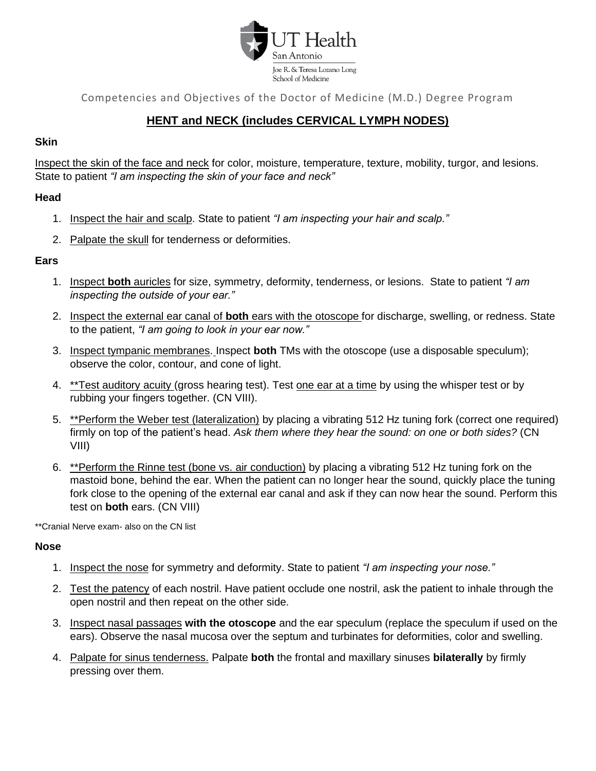

# **HENT and NECK (includes CERVICAL LYMPH NODES)**

#### **Skin**

Inspect the skin of the face and neck for color, moisture, temperature, texture, mobility, turgor, and lesions. State to patient *"I am inspecting the skin of your face and neck"*

#### **Head**

- 1. Inspect the hair and scalp. State to patient *"I am inspecting your hair and scalp."*
- 2. Palpate the skull for tenderness or deformities.

# **Ears**

- 1. Inspect **both** auricles for size, symmetry, deformity, tenderness, or lesions. State to patient *"I am inspecting the outside of your ear."*
- 2. Inspect the external ear canal of **both** ears with the otoscope for discharge, swelling, or redness. State to the patient, *"I am going to look in your ear now."*
- 3. Inspect tympanic membranes. Inspect **both** TMs with the otoscope (use a disposable speculum); observe the color, contour, and cone of light.
- 4. \*\*Test auditory acuity (gross hearing test). Test one ear at a time by using the whisper test or by rubbing your fingers together. (CN VIII).
- 5. \*\*Perform the Weber test (lateralization) by placing a vibrating 512 Hz tuning fork (correct one required) firmly on top of the patient's head. *Ask them where they hear the sound: on one or both sides?* (CN VIII)
- 6. \*\*Perform the Rinne test (bone vs. air conduction) by placing a vibrating 512 Hz tuning fork on the mastoid bone, behind the ear. When the patient can no longer hear the sound, quickly place the tuning fork close to the opening of the external ear canal and ask if they can now hear the sound. Perform this test on **both** ears. (CN VIII)

\*\*Cranial Nerve exam- also on the CN list

#### **Nose**

- 1. Inspect the nose for symmetry and deformity. State to patient *"I am inspecting your nose."*
- 2. Test the patency of each nostril. Have patient occlude one nostril, ask the patient to inhale through the open nostril and then repeat on the other side.
- 3. Inspect nasal passages **with the otoscope** and the ear speculum (replace the speculum if used on the ears). Observe the nasal mucosa over the septum and turbinates for deformities, color and swelling.
- 4. Palpate for sinus tenderness. Palpate **both** the frontal and maxillary sinuses **bilaterally** by firmly pressing over them.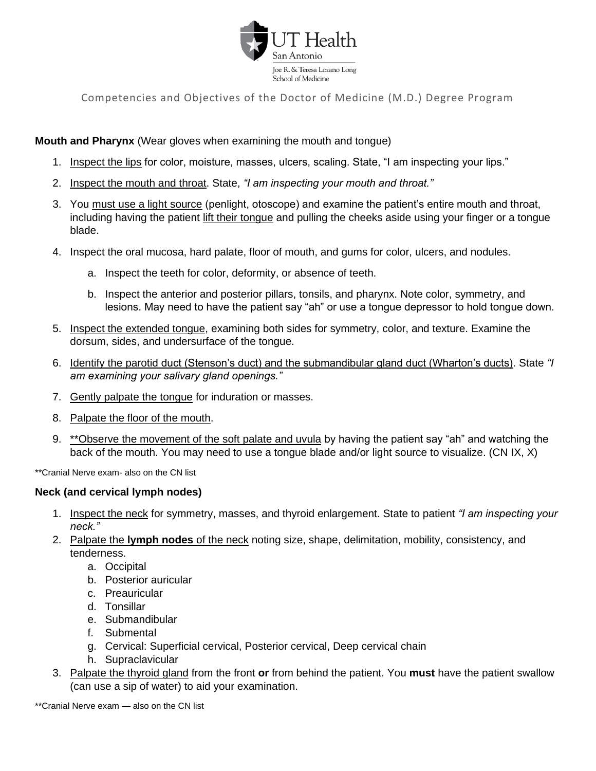

# **Mouth and Pharynx** (Wear gloves when examining the mouth and tongue)

- 1. Inspect the lips for color, moisture, masses, ulcers, scaling. State, "I am inspecting your lips."
- 2. Inspect the mouth and throat. State, *"I am inspecting your mouth and throat."*
- 3. You must use a light source (penlight, otoscope) and examine the patient's entire mouth and throat, including having the patient lift their tongue and pulling the cheeks aside using your finger or a tongue blade.
- 4. Inspect the oral mucosa, hard palate, floor of mouth, and gums for color, ulcers, and nodules.
	- a. Inspect the teeth for color, deformity, or absence of teeth.
	- b. Inspect the anterior and posterior pillars, tonsils, and pharynx. Note color, symmetry, and lesions. May need to have the patient say "ah" or use a tongue depressor to hold tongue down.
- 5. Inspect the extended tongue, examining both sides for symmetry, color, and texture. Examine the dorsum, sides, and undersurface of the tongue.
- 6. Identify the parotid duct (Stenson's duct) and the submandibular gland duct (Wharton's ducts). State *"I am examining your salivary gland openings."*
- 7. Gently palpate the tongue for induration or masses.
- 8. Palpate the floor of the mouth.
- 9. \*\*Observe the movement of the soft palate and uvula by having the patient say "ah" and watching the back of the mouth. You may need to use a tongue blade and/or light source to visualize. (CN IX, X)

\*\*Cranial Nerve exam- also on the CN list

#### **Neck (and cervical lymph nodes)**

- 1. Inspect the neck for symmetry, masses, and thyroid enlargement. State to patient *"I am inspecting your neck."*
- 2. Palpate the **lymph nodes** of the neck noting size, shape, delimitation, mobility, consistency, and tenderness.
	- a. Occipital
	- b. Posterior auricular
	- c. Preauricular
	- d. Tonsillar
	- e. Submandibular
	- f. Submental
	- g. Cervical: Superficial cervical, Posterior cervical, Deep cervical chain
	- h. Supraclavicular
- 3. Palpate the thyroid gland from the front **or** from behind the patient. You **must** have the patient swallow (can use a sip of water) to aid your examination.

\*\*Cranial Nerve exam — also on the CN list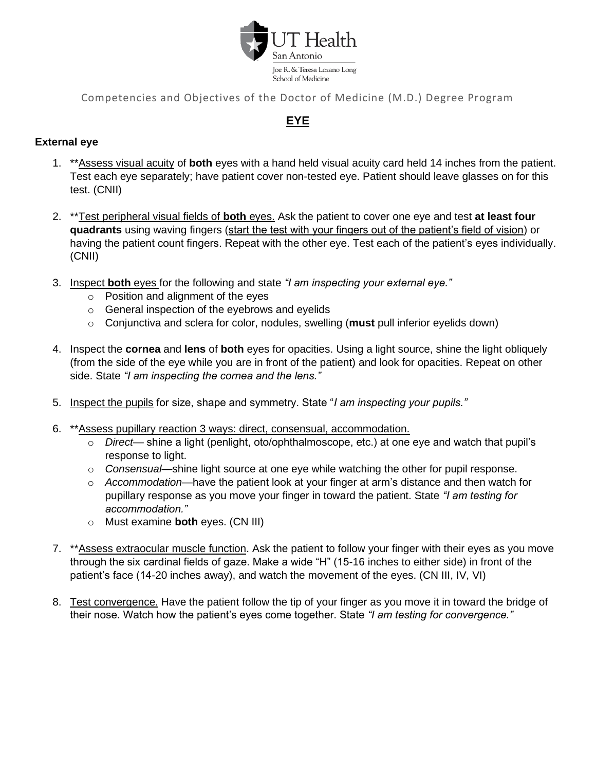

# **EYE**

# **External eye**

- 1. \*\*Assess visual acuity of **both** eyes with a hand held visual acuity card held 14 inches from the patient. Test each eye separately; have patient cover non-tested eye. Patient should leave glasses on for this test. (CNII)
- 2. \*\*Test peripheral visual fields of **both** eyes. Ask the patient to cover one eye and test **at least four quadrants** using waving fingers (start the test with your fingers out of the patient's field of vision) or having the patient count fingers. Repeat with the other eye. Test each of the patient's eyes individually. (CNII)
- 3. Inspect **both** eyes for the following and state *"I am inspecting your external eye."*
	- o Position and alignment of the eyes
	- o General inspection of the eyebrows and eyelids
	- o Conjunctiva and sclera for color, nodules, swelling (**must** pull inferior eyelids down)
- 4. Inspect the **cornea** and **lens** of **both** eyes for opacities. Using a light source, shine the light obliquely (from the side of the eye while you are in front of the patient) and look for opacities. Repeat on other side. State *"I am inspecting the cornea and the lens."*
- 5. Inspect the pupils for size, shape and symmetry. State "*I am inspecting your pupils."*
- 6. \*\*Assess pupillary reaction 3 ways: direct, consensual, accommodation.
	- o *Direct* shine a light (penlight, oto/ophthalmoscope, etc.) at one eye and watch that pupil's response to light.
	- o *Consensual*—shine light source at one eye while watching the other for pupil response.
	- o *Accommodation*—have the patient look at your finger at arm's distance and then watch for pupillary response as you move your finger in toward the patient. State *"I am testing for accommodation."*
	- o Must examine **both** eyes. (CN III)
- 7. \*\*Assess extraocular muscle function. Ask the patient to follow your finger with their eyes as you move through the six cardinal fields of gaze. Make a wide "H" (15-16 inches to either side) in front of the patient's face (14-20 inches away), and watch the movement of the eyes. (CN III, IV, VI)
- 8. Test convergence. Have the patient follow the tip of your finger as you move it in toward the bridge of their nose. Watch how the patient's eyes come together. State *"I am testing for convergence."*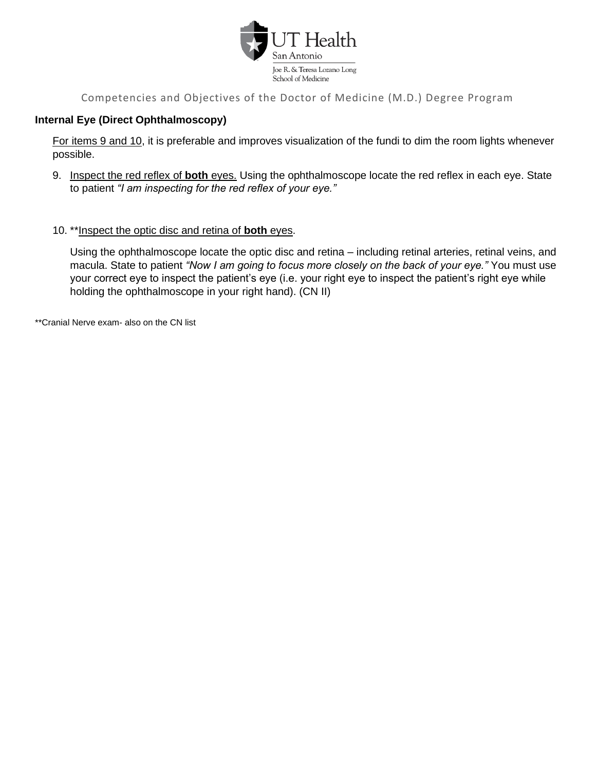

# **Internal Eye (Direct Ophthalmoscopy)**

For items 9 and 10, it is preferable and improves visualization of the fundi to dim the room lights whenever possible.

- 9. Inspect the red reflex of **both** eyes. Using the ophthalmoscope locate the red reflex in each eye. State to patient *"I am inspecting for the red reflex of your eye."*
- 10. \*\*Inspect the optic disc and retina of **both** eyes.

Using the ophthalmoscope locate the optic disc and retina – including retinal arteries, retinal veins, and macula. State to patient *"Now I am going to focus more closely on the back of your eye."* You must use your correct eye to inspect the patient's eye (i.e. your right eye to inspect the patient's right eye while holding the ophthalmoscope in your right hand). (CN II)

\*\*Cranial Nerve exam- also on the CN list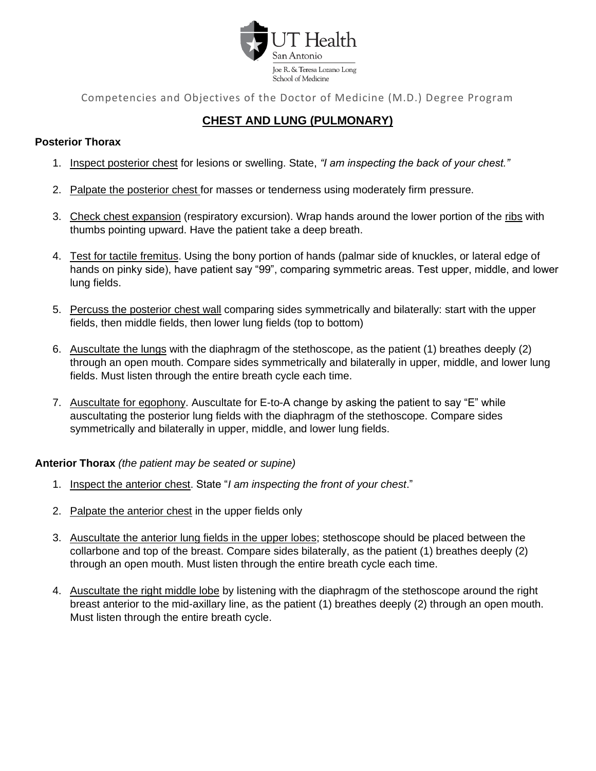

# **CHEST AND LUNG (PULMONARY)**

# **Posterior Thorax**

- 1. Inspect posterior chest for lesions or swelling. State, *"I am inspecting the back of your chest."*
- 2. Palpate the posterior chest for masses or tenderness using moderately firm pressure.
- 3. Check chest expansion (respiratory excursion). Wrap hands around the lower portion of the ribs with thumbs pointing upward. Have the patient take a deep breath.
- 4. Test for tactile fremitus. Using the bony portion of hands (palmar side of knuckles, or lateral edge of hands on pinky side), have patient say "99", comparing symmetric areas. Test upper, middle, and lower lung fields.
- 5. Percuss the posterior chest wall comparing sides symmetrically and bilaterally: start with the upper fields, then middle fields, then lower lung fields (top to bottom)
- 6. Auscultate the lungs with the diaphragm of the stethoscope, as the patient (1) breathes deeply (2) through an open mouth. Compare sides symmetrically and bilaterally in upper, middle, and lower lung fields. Must listen through the entire breath cycle each time.
- 7. Auscultate for egophony. Auscultate for E-to-A change by asking the patient to say "E" while auscultating the posterior lung fields with the diaphragm of the stethoscope. Compare sides symmetrically and bilaterally in upper, middle, and lower lung fields.

# **Anterior Thorax** *(the patient may be seated or supine)*

- 1. Inspect the anterior chest. State "*I am inspecting the front of your chest*."
- 2. Palpate the anterior chest in the upper fields only
- 3. Auscultate the anterior lung fields in the upper lobes; stethoscope should be placed between the collarbone and top of the breast. Compare sides bilaterally, as the patient (1) breathes deeply (2) through an open mouth. Must listen through the entire breath cycle each time.
- 4. Auscultate the right middle lobe by listening with the diaphragm of the stethoscope around the right breast anterior to the mid-axillary line, as the patient (1) breathes deeply (2) through an open mouth. Must listen through the entire breath cycle.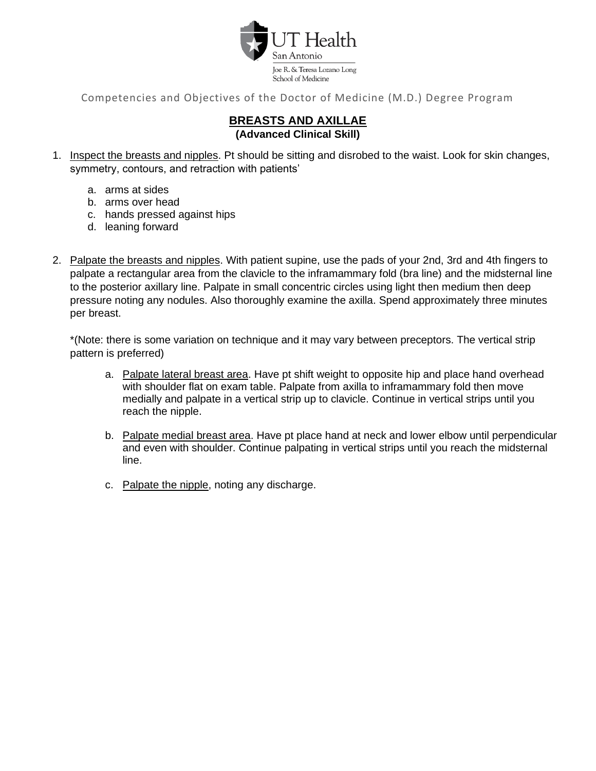

# **BREASTS AND AXILLAE (Advanced Clinical Skill)**

- 1. Inspect the breasts and nipples. Pt should be sitting and disrobed to the waist. Look for skin changes, symmetry, contours, and retraction with patients'
	- a. arms at sides
	- b. arms over head
	- c. hands pressed against hips
	- d. leaning forward
- 2. Palpate the breasts and nipples. With patient supine, use the pads of your 2nd, 3rd and 4th fingers to palpate a rectangular area from the clavicle to the inframammary fold (bra line) and the midsternal line to the posterior axillary line. Palpate in small concentric circles using light then medium then deep pressure noting any nodules. Also thoroughly examine the axilla. Spend approximately three minutes per breast.

\*(Note: there is some variation on technique and it may vary between preceptors. The vertical strip pattern is preferred)

- a. Palpate lateral breast area. Have pt shift weight to opposite hip and place hand overhead with shoulder flat on exam table. Palpate from axilla to inframammary fold then move medially and palpate in a vertical strip up to clavicle. Continue in vertical strips until you reach the nipple.
- b. Palpate medial breast area. Have pt place hand at neck and lower elbow until perpendicular and even with shoulder. Continue palpating in vertical strips until you reach the midsternal line.
- c. Palpate the nipple, noting any discharge.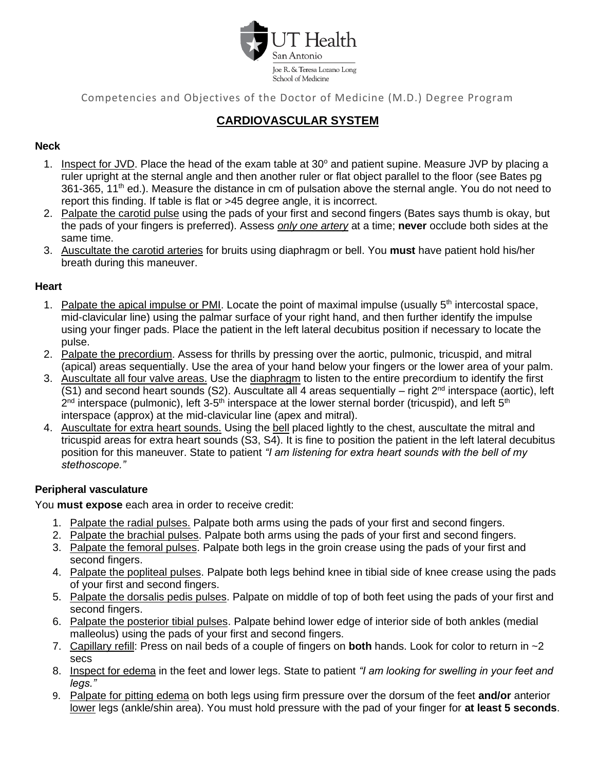

# **CARDIOVASCULAR SYSTEM**

# **Neck**

- 1. Inspect for JVD. Place the head of the exam table at  $30^{\circ}$  and patient supine. Measure JVP by placing a ruler upright at the sternal angle and then another ruler or flat object parallel to the floor (see Bates pg 361-365, 11<sup>th</sup> ed.). Measure the distance in cm of pulsation above the sternal angle. You do not need to report this finding. If table is flat or >45 degree angle, it is incorrect.
- 2. Palpate the carotid pulse using the pads of your first and second fingers (Bates says thumb is okay, but the pads of your fingers is preferred). Assess *only one artery* at a time; **never** occlude both sides at the same time.
- 3. Auscultate the carotid arteries for bruits using diaphragm or bell. You **must** have patient hold his/her breath during this maneuver.

# **Heart**

- 1. Palpate the apical impulse or PMI. Locate the point of maximal impulse (usually  $5<sup>th</sup>$  intercostal space. mid-clavicular line) using the palmar surface of your right hand, and then further identify the impulse using your finger pads. Place the patient in the left lateral decubitus position if necessary to locate the pulse.
- 2. Palpate the precordium. Assess for thrills by pressing over the aortic, pulmonic, tricuspid, and mitral (apical) areas sequentially. Use the area of your hand below your fingers or the lower area of your palm.
- 3. Auscultate all four valve areas. Use the diaphragm to listen to the entire precordium to identify the first (S1) and second heart sounds (S2). Auscultate all 4 areas sequentially – right  $2^{nd}$  interspace (aortic), left 2<sup>nd</sup> interspace (pulmonic), left 3-5<sup>th</sup> interspace at the lower sternal border (tricuspid), and left 5<sup>th</sup> interspace (approx) at the mid-clavicular line (apex and mitral).
- 4. Auscultate for extra heart sounds. Using the bell placed lightly to the chest, auscultate the mitral and tricuspid areas for extra heart sounds (S3, S4). It is fine to position the patient in the left lateral decubitus position for this maneuver. State to patient *"I am listening for extra heart sounds with the bell of my stethoscope."*

# **Peripheral vasculature**

You **must expose** each area in order to receive credit:

- 1. Palpate the radial pulses. Palpate both arms using the pads of your first and second fingers.
- 2. Palpate the brachial pulses. Palpate both arms using the pads of your first and second fingers.
- 3. Palpate the femoral pulses. Palpate both legs in the groin crease using the pads of your first and second fingers.
- 4. Palpate the popliteal pulses. Palpate both legs behind knee in tibial side of knee crease using the pads of your first and second fingers.
- 5. Palpate the dorsalis pedis pulses. Palpate on middle of top of both feet using the pads of your first and second fingers.
- 6. Palpate the posterior tibial pulses. Palpate behind lower edge of interior side of both ankles (medial malleolus) using the pads of your first and second fingers.
- 7. Capillary refill: Press on nail beds of a couple of fingers on **both** hands. Look for color to return in ~2 secs
- 8. Inspect for edema in the feet and lower legs. State to patient *"I am looking for swelling in your feet and legs."*
- 9. Palpate for pitting edema on both legs using firm pressure over the dorsum of the feet **and/or** anterior lower legs (ankle/shin area). You must hold pressure with the pad of your finger for **at least 5 seconds**.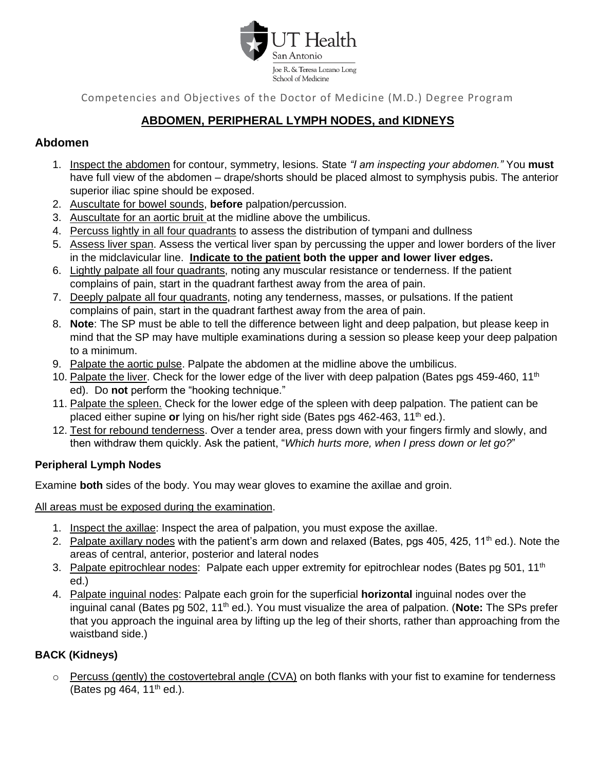

# **ABDOMEN, PERIPHERAL LYMPH NODES, and KIDNEYS**

# **Abdomen**

- 1. Inspect the abdomen for contour, symmetry, lesions. State *"I am inspecting your abdomen."* You **must** have full view of the abdomen – drape/shorts should be placed almost to symphysis pubis. The anterior superior iliac spine should be exposed.
- 2. Auscultate for bowel sounds, **before** palpation/percussion.
- 3. Auscultate for an aortic bruit at the midline above the umbilicus.
- 4. Percuss lightly in all four quadrants to assess the distribution of tympani and dullness
- 5. Assess liver span. Assess the vertical liver span by percussing the upper and lower borders of the liver in the midclavicular line. **Indicate to the patient both the upper and lower liver edges.**
- 6. Lightly palpate all four quadrants, noting any muscular resistance or tenderness. If the patient complains of pain, start in the quadrant farthest away from the area of pain.
- 7. Deeply palpate all four quadrants, noting any tenderness, masses, or pulsations. If the patient complains of pain, start in the quadrant farthest away from the area of pain.
- 8. **Note**: The SP must be able to tell the difference between light and deep palpation, but please keep in mind that the SP may have multiple examinations during a session so please keep your deep palpation to a minimum.
- 9. Palpate the aortic pulse. Palpate the abdomen at the midline above the umbilicus.
- 10. Palpate the liver. Check for the lower edge of the liver with deep palpation (Bates pgs 459-460, 11<sup>th</sup> ed). Do **not** perform the "hooking technique."
- 11. Palpate the spleen. Check for the lower edge of the spleen with deep palpation. The patient can be placed either supine **or** lying on his/her right side (Bates pgs 462-463, 11<sup>th</sup> ed.).
- 12. Test for rebound tenderness. Over a tender area, press down with your fingers firmly and slowly, and then withdraw them quickly. Ask the patient, "*Which hurts more, when I press down or let go?*"

# **Peripheral Lymph Nodes**

Examine **both** sides of the body. You may wear gloves to examine the axillae and groin.

All areas must be exposed during the examination.

- 1. Inspect the axillae: Inspect the area of palpation, you must expose the axillae.
- 2. Palpate axillary nodes with the patient's arm down and relaxed (Bates, pgs 405, 425, 11<sup>th</sup> ed.). Note the areas of central, anterior, posterior and lateral nodes
- 3. Palpate epitrochlear nodes: Palpate each upper extremity for epitrochlear nodes (Bates pg 501, 11<sup>th</sup>) ed.)
- 4. Palpate inguinal nodes: Palpate each groin for the superficial **horizontal** inguinal nodes over the inguinal canal (Bates pg 502, 11<sup>th</sup> ed.). You must visualize the area of palpation. (**Note:** The SPs prefer that you approach the inguinal area by lifting up the leg of their shorts, rather than approaching from the waistband side.)

# **BACK (Kidneys)**

 $\circ$  Percuss (gently) the costovertebral angle (CVA) on both flanks with your fist to examine for tenderness (Bates pg 464,  $11<sup>th</sup>$  ed.).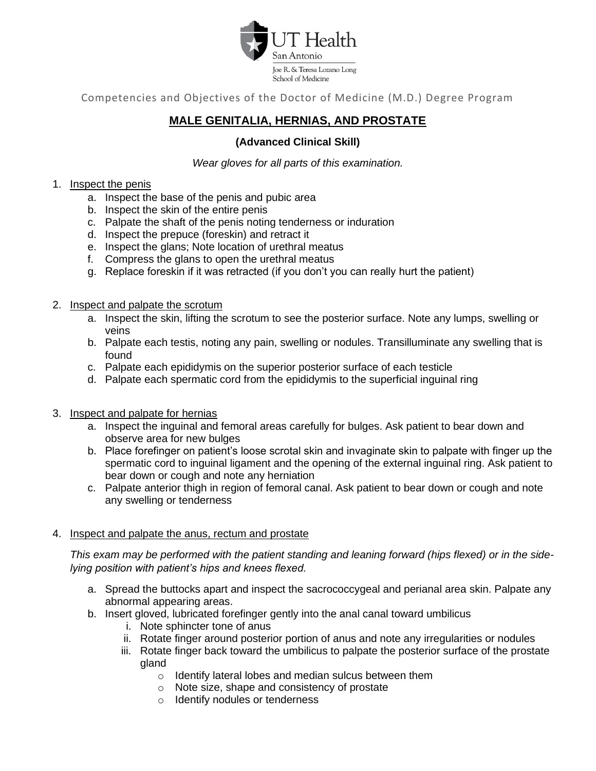

# **MALE GENITALIA, HERNIAS, AND PROSTATE**

# **(Advanced Clinical Skill)**

*Wear gloves for all parts of this examination.*

#### 1. Inspect the penis

- a. Inspect the base of the penis and pubic area
- b. Inspect the skin of the entire penis
- c. Palpate the shaft of the penis noting tenderness or induration
- d. Inspect the prepuce (foreskin) and retract it
- e. Inspect the glans; Note location of urethral meatus
- f. Compress the glans to open the urethral meatus
- g. Replace foreskin if it was retracted (if you don't you can really hurt the patient)
- 2. Inspect and palpate the scrotum
	- a. Inspect the skin, lifting the scrotum to see the posterior surface. Note any lumps, swelling or veins
	- b. Palpate each testis, noting any pain, swelling or nodules. Transilluminate any swelling that is found
	- c. Palpate each epididymis on the superior posterior surface of each testicle
	- d. Palpate each spermatic cord from the epididymis to the superficial inguinal ring
- 3. Inspect and palpate for hernias
	- a. Inspect the inguinal and femoral areas carefully for bulges. Ask patient to bear down and observe area for new bulges
	- b. Place forefinger on patient's loose scrotal skin and invaginate skin to palpate with finger up the spermatic cord to inguinal ligament and the opening of the external inguinal ring. Ask patient to bear down or cough and note any herniation
	- c. Palpate anterior thigh in region of femoral canal. Ask patient to bear down or cough and note any swelling or tenderness

#### 4. Inspect and palpate the anus, rectum and prostate

*This exam may be performed with the patient standing and leaning forward (hips flexed) or in the sidelying position with patient's hips and knees flexed.*

- a. Spread the buttocks apart and inspect the sacrococcygeal and perianal area skin. Palpate any abnormal appearing areas.
- b. Insert gloved, lubricated forefinger gently into the anal canal toward umbilicus
	- i. Note sphincter tone of anus
	- ii. Rotate finger around posterior portion of anus and note any irregularities or nodules
	- iii. Rotate finger back toward the umbilicus to palpate the posterior surface of the prostate gland
		- o Identify lateral lobes and median sulcus between them
		- o Note size, shape and consistency of prostate
		- o Identify nodules or tenderness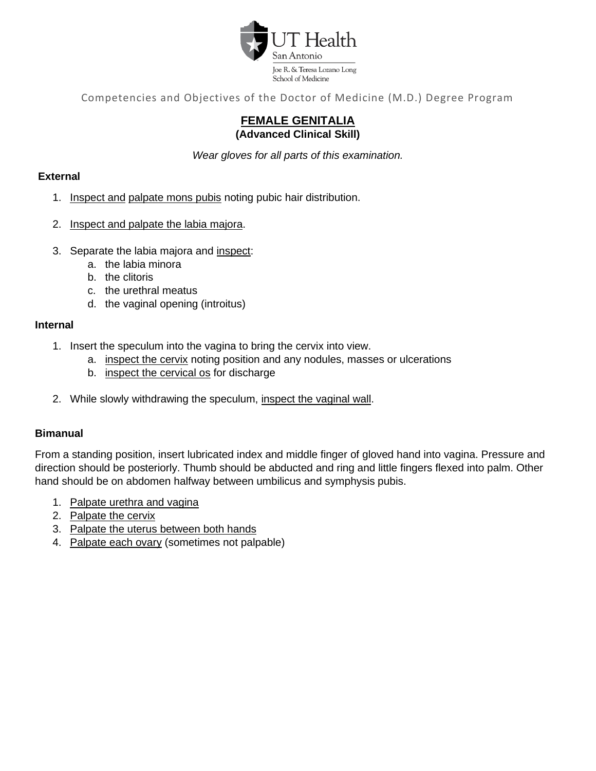

# **FEMALE GENITALIA (Advanced Clinical Skill)**

*Wear gloves for all parts of this examination.*

# **External**

- 1. Inspect and palpate mons pubis noting pubic hair distribution.
- 2. Inspect and palpate the labia majora.
- 3. Separate the labia majora and inspect:
	- a. the labia minora
	- b. the clitoris
	- c. the urethral meatus
	- d. the vaginal opening (introitus)

# **Internal**

- 1. Insert the speculum into the vagina to bring the cervix into view.
	- a. inspect the cervix noting position and any nodules, masses or ulcerations
	- b. inspect the cervical os for discharge
- 2. While slowly withdrawing the speculum, inspect the vaginal wall.

# **Bimanual**

From a standing position, insert lubricated index and middle finger of gloved hand into vagina. Pressure and direction should be posteriorly. Thumb should be abducted and ring and little fingers flexed into palm. Other hand should be on abdomen halfway between umbilicus and symphysis pubis.

- 1. Palpate urethra and vagina
- 2. Palpate the cervix
- 3. Palpate the uterus between both hands
- 4. Palpate each ovary (sometimes not palpable)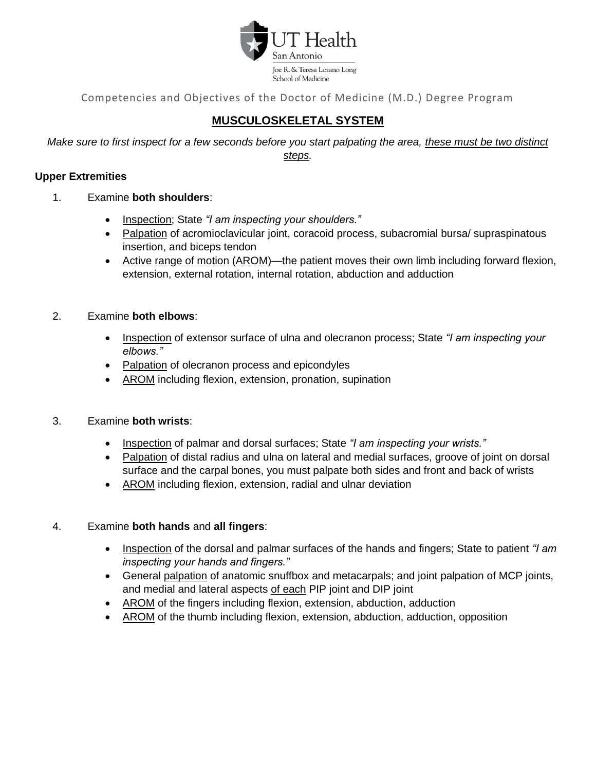

# **MUSCULOSKELETAL SYSTEM**

*Make sure to first inspect for a few seconds before you start palpating the area, these must be two distinct steps.*

# **Upper Extremities**

- 1. Examine **both shoulders**:
	- Inspection; State *"I am inspecting your shoulders."*
	- Palpation of acromioclavicular joint, coracoid process, subacromial bursa/ supraspinatous insertion, and biceps tendon
	- Active range of motion (AROM)—the patient moves their own limb including forward flexion, extension, external rotation, internal rotation, abduction and adduction

# 2. Examine **both elbows**:

- Inspection of extensor surface of ulna and olecranon process; State *"I am inspecting your elbows."*
- Palpation of olecranon process and epicondyles
- AROM including flexion, extension, pronation, supination

# 3. Examine **both wrists**:

- Inspection of palmar and dorsal surfaces; State *"I am inspecting your wrists."*
- Palpation of distal radius and ulna on lateral and medial surfaces, groove of joint on dorsal surface and the carpal bones, you must palpate both sides and front and back of wrists
- AROM including flexion, extension, radial and ulnar deviation

# 4. Examine **both hands** and **all fingers**:

- Inspection of the dorsal and palmar surfaces of the hands and fingers; State to patient *"I am inspecting your hands and fingers."*
- General palpation of anatomic snuffbox and metacarpals; and joint palpation of MCP joints, and medial and lateral aspects of each PIP joint and DIP joint
- AROM of the fingers including flexion, extension, abduction, adduction
- AROM of the thumb including flexion, extension, abduction, adduction, opposition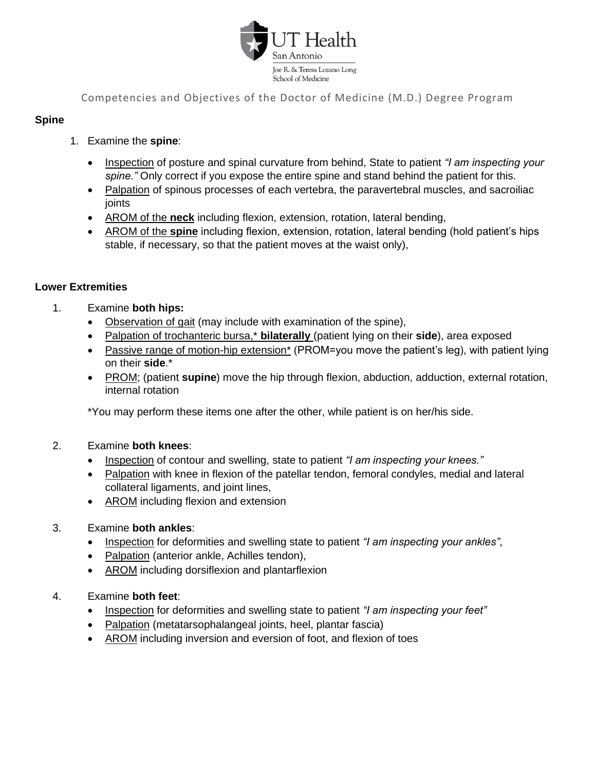

# **Spine**

- 1. Examine the **spine**:
	- Inspection of posture and spinal curvature from behind, State to patient *"I am inspecting your spine."* Only correct if you expose the entire spine and stand behind the patient for this.
	- Palpation of spinous processes of each vertebra, the paravertebral muscles, and sacroiliac joints
	- AROM of the **neck** including flexion, extension, rotation, lateral bending,
	- AROM of the **spine** including flexion, extension, rotation, lateral bending (hold patient's hips stable, if necessary, so that the patient moves at the waist only),

# **Lower Extremities**

- 1. Examine **both hips:**
	- Observation of gait (may include with examination of the spine),
	- Palpation of trochanteric bursa,\* **bilaterally** (patient lying on their **side**), area exposed
	- Passive range of motion-hip extension\* (PROM=you move the patient's leg), with patient lying on their **side**.\*
	- PROM; (patient **supine**) move the hip through flexion, abduction, adduction, external rotation, internal rotation

\*You may perform these items one after the other, while patient is on her/his side.

# 2. Examine **both knees**:

- Inspection of contour and swelling, state to patient *"I am inspecting your knees."*
- Palpation with knee in flexion of the patellar tendon, femoral condyles, medial and lateral collateral ligaments, and joint lines,
- AROM including flexion and extension

# 3. Examine **both ankles**:

- Inspection for deformities and swelling state to patient *"I am inspecting your ankles"*,
- Palpation (anterior ankle, Achilles tendon),
- AROM including dorsiflexion and plantarflexion

# 4. Examine **both feet**:

- Inspection for deformities and swelling state to patient *"I am inspecting your feet"*
- Palpation (metatarsophalangeal joints, heel, plantar fascia)
- AROM including inversion and eversion of foot, and flexion of toes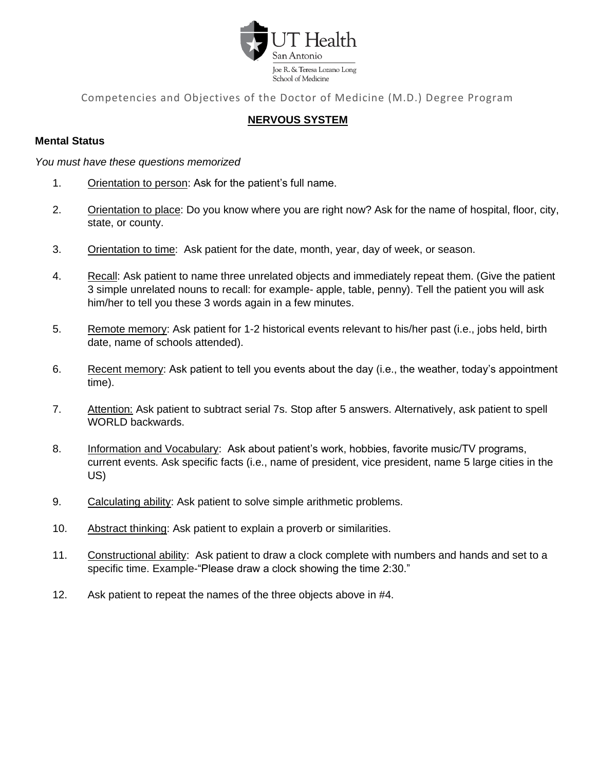

# **NERVOUS SYSTEM**

#### **Mental Status**

*You must have these questions memorized*

- 1. Orientation to person: Ask for the patient's full name.
- 2. Orientation to place: Do you know where you are right now? Ask for the name of hospital, floor, city, state, or county.
- 3. Orientation to time: Ask patient for the date, month, year, day of week, or season.
- 4. Recall: Ask patient to name three unrelated objects and immediately repeat them. (Give the patient 3 simple unrelated nouns to recall: for example- apple, table, penny). Tell the patient you will ask him/her to tell you these 3 words again in a few minutes.
- 5. Remote memory: Ask patient for 1-2 historical events relevant to his/her past (i.e., jobs held, birth date, name of schools attended).
- 6. Recent memory: Ask patient to tell you events about the day (i.e., the weather, today's appointment time).
- 7. Attention: Ask patient to subtract serial 7s. Stop after 5 answers. Alternatively, ask patient to spell WORLD backwards.
- 8. Information and Vocabulary: Ask about patient's work, hobbies, favorite music/TV programs, current events. Ask specific facts (i.e., name of president, vice president, name 5 large cities in the US)
- 9. Calculating ability: Ask patient to solve simple arithmetic problems.
- 10. Abstract thinking: Ask patient to explain a proverb or similarities.
- 11. Constructional ability: Ask patient to draw a clock complete with numbers and hands and set to a specific time. Example-"Please draw a clock showing the time 2:30."
- 12. Ask patient to repeat the names of the three objects above in #4.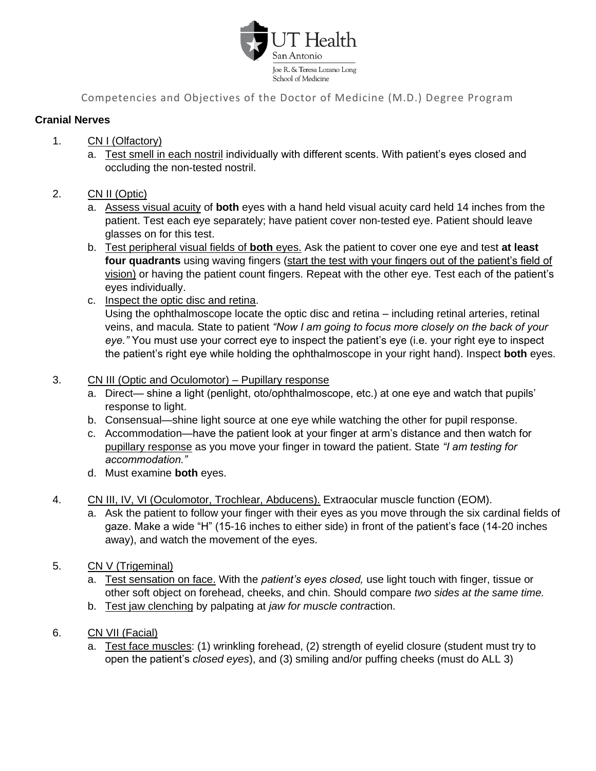

# **Cranial Nerves**

- 1. CN I (Olfactory)
	- a. Test smell in each nostril individually with different scents. With patient's eyes closed and occluding the non-tested nostril.
- 2. CN II (Optic)
	- a. Assess visual acuity of **both** eyes with a hand held visual acuity card held 14 inches from the patient. Test each eye separately; have patient cover non-tested eye. Patient should leave glasses on for this test.
	- b. Test peripheral visual fields of **both** eyes. Ask the patient to cover one eye and test **at least**  four quadrants using waving fingers (start the test with your fingers out of the patient's field of vision) or having the patient count fingers. Repeat with the other eye. Test each of the patient's eyes individually.
	- c. Inspect the optic disc and retina. Using the ophthalmoscope locate the optic disc and retina – including retinal arteries, retinal veins, and macula. State to patient *"Now I am going to focus more closely on the back of your eye."* You must use your correct eye to inspect the patient's eye (i.e. your right eye to inspect the patient's right eye while holding the ophthalmoscope in your right hand). Inspect **both** eyes.
- 3. CN III (Optic and Oculomotor) Pupillary response
	- a. Direct— shine a light (penlight, oto/ophthalmoscope, etc.) at one eye and watch that pupils' response to light.
	- b. Consensual—shine light source at one eye while watching the other for pupil response.
	- c. Accommodation—have the patient look at your finger at arm's distance and then watch for pupillary response as you move your finger in toward the patient. State *"I am testing for accommodation."*
	- d. Must examine **both** eyes.
- 4. CN III, IV, VI (Oculomotor, Trochlear, Abducens). Extraocular muscle function (EOM).
	- a. Ask the patient to follow your finger with their eyes as you move through the six cardinal fields of gaze. Make a wide "H" (15-16 inches to either side) in front of the patient's face (14-20 inches away), and watch the movement of the eyes.
- 5. CN V (Trigeminal)
	- a. Test sensation on face. With the *patient's eyes closed,* use light touch with finger, tissue or other soft object on forehead, cheeks, and chin. Should compare *two sides at the same time.*
	- b. Test jaw clenching by palpating at *jaw for muscle contra*ction.
- 6. CN VII (Facial)
	- a. Test face muscles: (1) wrinkling forehead, (2) strength of eyelid closure (student must try to open the patient's *closed eyes*), and (3) smiling and/or puffing cheeks (must do ALL 3)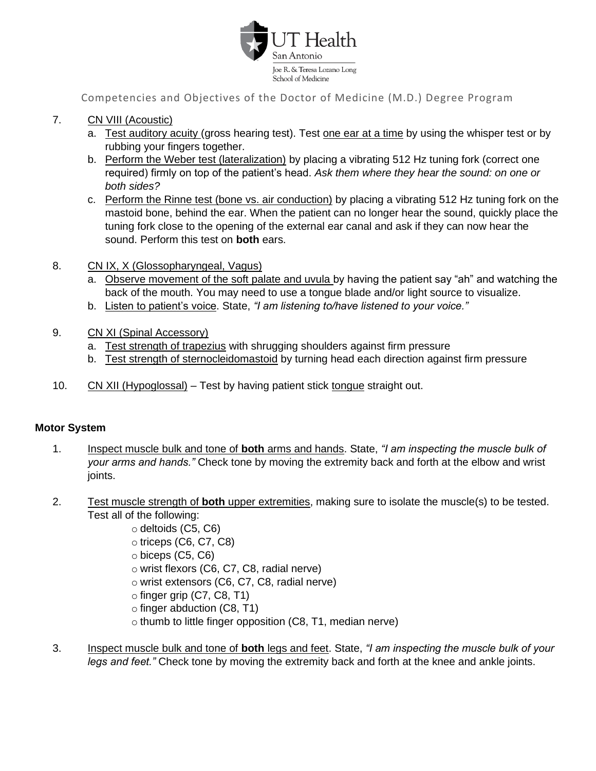

- 7. CN VIII (Acoustic)
	- a. Test auditory acuity (gross hearing test). Test one ear at a time by using the whisper test or by rubbing your fingers together.
	- b. Perform the Weber test (lateralization) by placing a vibrating 512 Hz tuning fork (correct one required) firmly on top of the patient's head. *Ask them where they hear the sound: on one or both sides?*
	- c. Perform the Rinne test (bone vs. air conduction) by placing a vibrating 512 Hz tuning fork on the mastoid bone, behind the ear. When the patient can no longer hear the sound, quickly place the tuning fork close to the opening of the external ear canal and ask if they can now hear the sound. Perform this test on **both** ears.
- 8. CN IX, X (Glossopharyngeal, Vagus)
	- a. Observe movement of the soft palate and uvula by having the patient say "ah" and watching the back of the mouth. You may need to use a tongue blade and/or light source to visualize.
	- b. Listen to patient's voice. State, *"I am listening to/have listened to your voice."*
- 9. CN XI (Spinal Accessory)
	- a. Test strength of trapezius with shrugging shoulders against firm pressure
	- b. Test strength of sternocleidomastoid by turning head each direction against firm pressure
- 10. CN XII (Hypoglossal) Test by having patient stick tongue straight out.

# **Motor System**

- 1. Inspect muscle bulk and tone of **both** arms and hands. State, *"I am inspecting the muscle bulk of your arms and hands."* Check tone by moving the extremity back and forth at the elbow and wrist joints.
- 2. Test muscle strength of **both** upper extremities, making sure to isolate the muscle(s) to be tested. Test all of the following:
	- o deltoids (C5, C6)
	- o triceps (C6, C7, C8)
	- $\circ$  biceps (C5, C6)
	- o wrist flexors (C6, C7, C8, radial nerve)
	- o wrist extensors (C6, C7, C8, radial nerve)
	- $\circ$  finger grip (C7, C8, T1)
	- o finger abduction (C8, T1)
	- o thumb to little finger opposition (C8, T1, median nerve)
- 3. Inspect muscle bulk and tone of **both** legs and feet. State, *"I am inspecting the muscle bulk of your legs and feet."* Check tone by moving the extremity back and forth at the knee and ankle joints.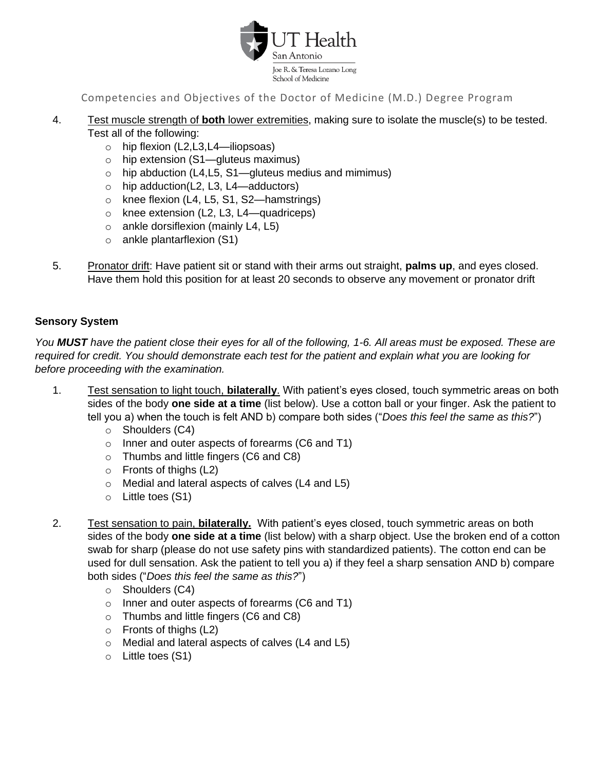

- 4. Test muscle strength of **both** lower extremities, making sure to isolate the muscle(s) to be tested. Test all of the following:
	- $\circ$  hip flexion (L2,L3,L4—iliopsoas)
	- o hip extension (S1—gluteus maximus)
	- $\circ$  hip abduction (L4,L5, S1—gluteus medius and mimimus)
	- o hip adduction(L2, L3, L4—adductors)
	- o knee flexion (L4, L5, S1, S2—hamstrings)
	- o knee extension (L2, L3, L4—quadriceps)
	- $\circ$  ankle dorsiflexion (mainly L4, L5)
	- o ankle plantarflexion (S1)
- 5. Pronator drift: Have patient sit or stand with their arms out straight, **palms up**, and eyes closed. Have them hold this position for at least 20 seconds to observe any movement or pronator drift

# **Sensory System**

*You MUST have the patient close their eyes for all of the following, 1-6. All areas must be exposed. These are required for credit. You should demonstrate each test for the patient and explain what you are looking for before proceeding with the examination.* 

- 1. Test sensation to light touch, **bilaterally**. With patient's eyes closed, touch symmetric areas on both sides of the body **one side at a time** (list below). Use a cotton ball or your finger. Ask the patient to tell you a) when the touch is felt AND b) compare both sides ("*Does this feel the same as this?*")
	- o Shoulders (C4)
	- o Inner and outer aspects of forearms (C6 and T1)
	- o Thumbs and little fingers (C6 and C8)
	- $\circ$  Fronts of thighs (L2)
	- o Medial and lateral aspects of calves (L4 and L5)
	- o Little toes (S1)
- 2. Test sensation to pain, **bilaterally.** With patient's eyes closed, touch symmetric areas on both sides of the body **one side at a time** (list below) with a sharp object. Use the broken end of a cotton swab for sharp (please do not use safety pins with standardized patients). The cotton end can be used for dull sensation. Ask the patient to tell you a) if they feel a sharp sensation AND b) compare both sides ("*Does this feel the same as this?*")
	- o Shoulders (C4)
	- o Inner and outer aspects of forearms (C6 and T1)
	- o Thumbs and little fingers (C6 and C8)
	- o Fronts of thighs (L2)
	- o Medial and lateral aspects of calves (L4 and L5)
	- o Little toes (S1)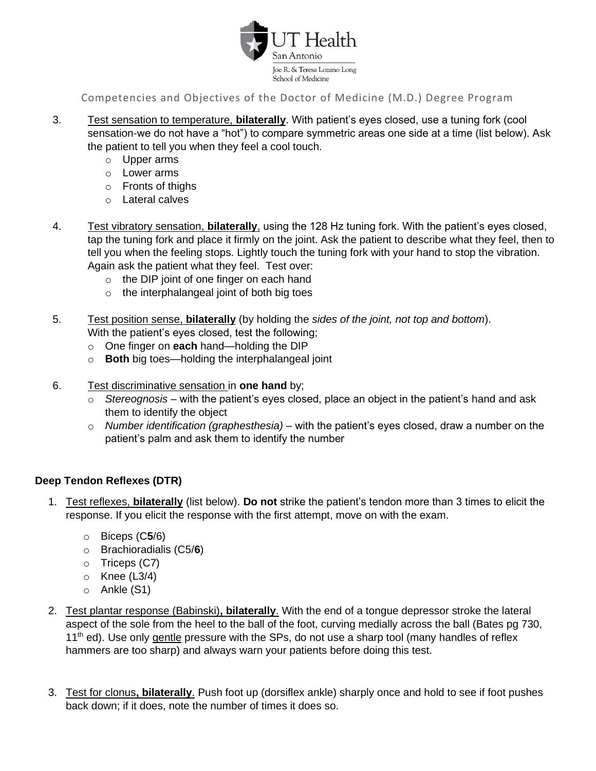

- 3. Test sensation to temperature, **bilaterally**. With patient's eyes closed, use a tuning fork (cool sensation-we do not have a "hot") to compare symmetric areas one side at a time (list below). Ask the patient to tell you when they feel a cool touch.
	- o Upper arms
	- o Lower arms
	- o Fronts of thighs
	- o Lateral calves
- 4. Test vibratory sensation, **bilaterally**, using the 128 Hz tuning fork. With the patient's eyes closed, tap the tuning fork and place it firmly on the joint. Ask the patient to describe what they feel, then to tell you when the feeling stops. Lightly touch the tuning fork with your hand to stop the vibration. Again ask the patient what they feel. Test over:
	- o the DIP joint of one finger on each hand
	- o the interphalangeal joint of both big toes
- 5. Test position sense, **bilaterally** (by holding the *sides of the joint, not top and bottom*).
	- With the patient's eyes closed, test the following;
	- o One finger on **each** hand—holding the DIP
	- o **Both** big toes—holding the interphalangeal joint
- 6. Test discriminative sensation in **one hand** by;
	- o *Stereognosis*  with the patient's eyes closed, place an object in the patient's hand and ask them to identify the object
	- o *Number identification (graphesthesia)*  with the patient's eyes closed, draw a number on the patient's palm and ask them to identify the number

# **Deep Tendon Reflexes (DTR)**

- 1. Test reflexes, **bilaterally** (list below). **Do not** strike the patient's tendon more than 3 times to elicit the response. If you elicit the response with the first attempt, move on with the exam.
	- o Biceps (C**5**/6)
	- o Brachioradialis (C5/**6**)
	- o Triceps (C7)
	- $\circ$  Knee (L3/4)
	- o Ankle (S1)
- 2. Test plantar response (Babinski)**, bilaterally**. With the end of a tongue depressor stroke the lateral aspect of the sole from the heel to the ball of the foot, curving medially across the ball (Bates pg 730, 11<sup>th</sup> ed). Use only gentle pressure with the SPs, do not use a sharp tool (many handles of reflex hammers are too sharp) and always warn your patients before doing this test.
- 3. Test for clonus**, bilaterally**. Push foot up (dorsiflex ankle) sharply once and hold to see if foot pushes back down; if it does, note the number of times it does so.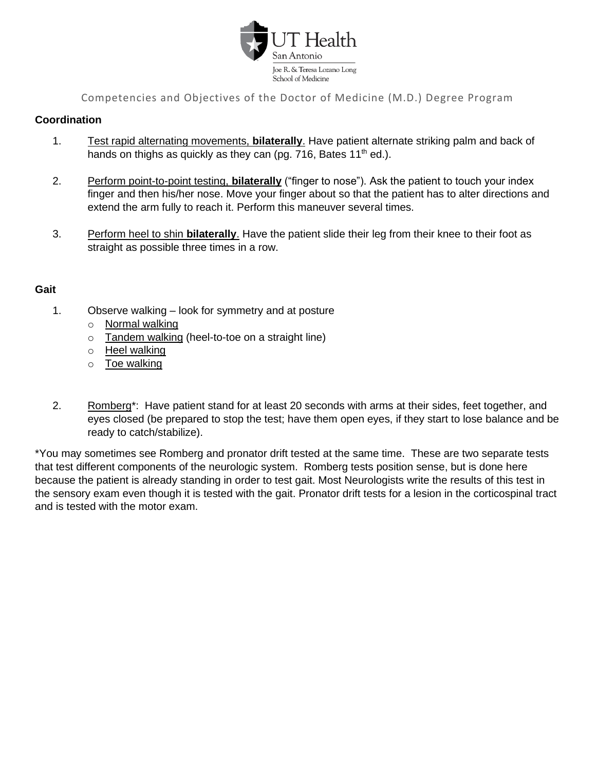

# **Coordination**

- 1. Test rapid alternating movements, **bilaterally**. Have patient alternate striking palm and back of hands on thighs as quickly as they can (pg. 716, Bates 11<sup>th</sup> ed.).
- 2. Perform point-to-point testing, **bilaterally** ("finger to nose"). Ask the patient to touch your index finger and then his/her nose. Move your finger about so that the patient has to alter directions and extend the arm fully to reach it. Perform this maneuver several times.
- 3. Perform heel to shin **bilaterally**. Have the patient slide their leg from their knee to their foot as straight as possible three times in a row.

# **Gait**

- 1. Observe walking look for symmetry and at posture
	- o Normal walking
	- o Tandem walking (heel-to-toe on a straight line)
	- o Heel walking
	- o Toe walking
- 2. Romberg<sup>\*</sup>: Have patient stand for at least 20 seconds with arms at their sides, feet together, and eyes closed (be prepared to stop the test; have them open eyes, if they start to lose balance and be ready to catch/stabilize).

\*You may sometimes see Romberg and pronator drift tested at the same time. These are two separate tests that test different components of the neurologic system. Romberg tests position sense, but is done here because the patient is already standing in order to test gait. Most Neurologists write the results of this test in the sensory exam even though it is tested with the gait. Pronator drift tests for a lesion in the corticospinal tract and is tested with the motor exam.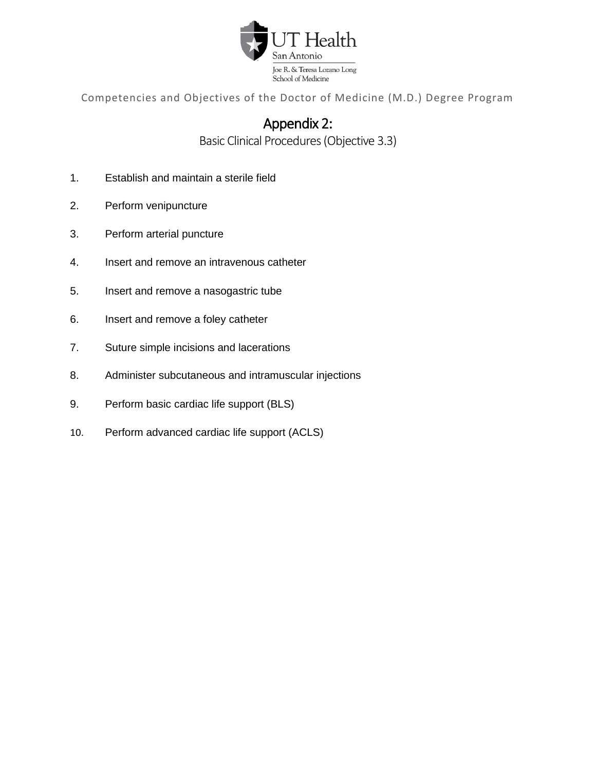

# Appendix 2:

Basic Clinical Procedures(Objective 3.3)

- <span id="page-25-0"></span>1. Establish and maintain a sterile field
- 2. Perform venipuncture
- 3. Perform arterial puncture
- 4. Insert and remove an intravenous catheter
- 5. Insert and remove a nasogastric tube
- 6. Insert and remove a foley catheter
- 7. Suture simple incisions and lacerations
- 8. Administer subcutaneous and intramuscular injections
- 9. Perform basic cardiac life support (BLS)
- 10. Perform advanced cardiac life support (ACLS)